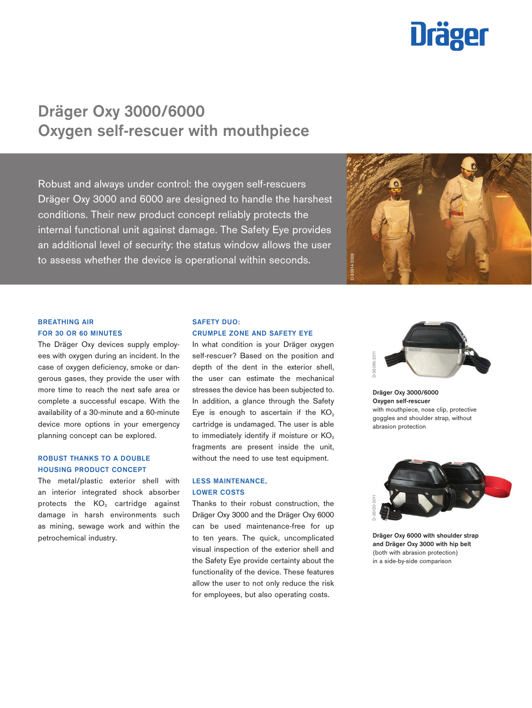# **Dräger**

## Dräger Oxy 3000/6000 Oxygen self-rescuer with mouthpiece

Robust and always under control: the oxygen self-rescuers Dräger Oxy 3000 and 6000 are designed to handle the harshest conditions. Their new product concept reliably protects the internal functional unit against damage. The Safety Eye provides an additional level of security: the status window allows the user to assess whether the device is operational within seconds.



### BREATHING AIR FOR 30 OR 60 MINUTES

The Dräger Oxy devices supply employees with oxygen during an incident. In the case of oxygen deficiency, smoke or dangerous gases, they provide the user with more time to reach the next safe area or complete a successful escape. With the availability of a 30-minute and a 60-minute device more options in your emergency planning concept can be explored.

### ROBUST THANKS TO A DOUBLE HOUSING PRODUCT CONCEPT

The metal/plastic exterior shell with an interior integrated shock absorber protects the  $KO<sub>2</sub>$  cartridge against damage in harsh environments such as mining, sewage work and within the petrochemical industry.

### SAFETY DUO: CRUMPLE ZONE AND SAFETY EYE

In what condition is your Dräger oxygen self-rescuer? Based on the position and depth of the dent in the exterior shell, the user can estimate the mechanical stresses the device has been subjected to. In addition, a glance through the Safety Eye is enough to ascertain if the  $KO<sub>2</sub>$ cartridge is undamaged. The user is able to immediately identify if moisture or  $KO<sub>2</sub>$ fragments are present inside the unit, without the need to use test equipment.

### LESS MAINTENANCE, LOWER COSTS

Thanks to their robust construction, the Dräger Oxy 3000 and the Dräger Oxy 6000 can be used maintenance-free for up to ten years. The quick, uncomplicated visual inspection of the exterior shell and the Safety Eye provide certainty about the functionality of the device. These features allow the user to not only reduce the risk for employees, but also operating costs.



Dräger Oxy 3000/6000 Oxygen self-rescuer with mouthpiece, nose clip, protective goggles and shoulder strap, without ERRET OXY 3000/6<br>
Dräger Oxy 3000/6<br>
Oxygen self-rescue<br>
with mouthpiece, no<br>
goggles and should<br>
abrasion protection



Dräger Oxy 6000 with shoulder strap and Dräger Oxy 3000 with hip belt (both with abrasion protection) Dräger Oxy 6000 with shou<br>and Dräger Oxy 3000 with l<br>(both with abrasion protectic<br>in a side-by-side comparison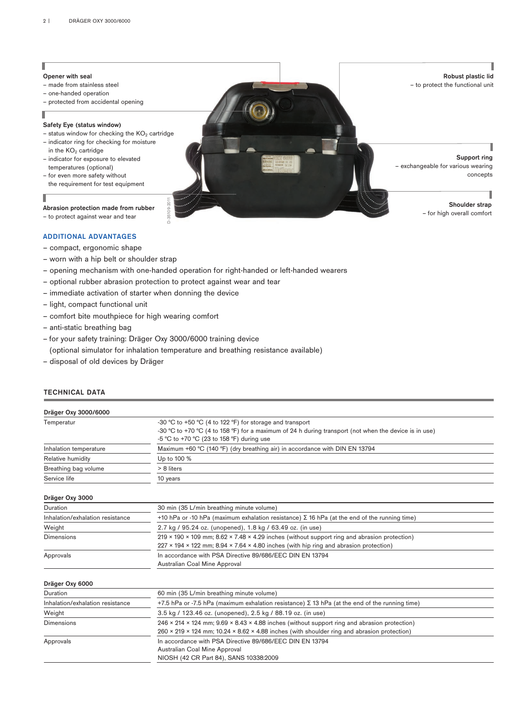### Opener with seal

- made from stainless steel
- one-handed operation
- protected from accidental opening

- Safety Eye (status window)  $-$  status window for checking the  $KO<sub>2</sub>$  cartridge
- indicator ring for checking for moisture
- in the  $KO<sub>2</sub>$  cartridge – indicator for exposure to elevated
- temperatures (optional) – for even more safety without
- the requirement for test equipment

### I

Support ring – exchangeable for various wearing concepts

### Shoulder strap – for high overall comfort

Robust plastic lid

– to protect the functional unit

### ADDITIONAL ADVANTAGES

### – compact, ergonomic shape

- worn with a hip belt or shoulder strap
- opening mechanism with one-handed operation for right-handed or left-handed wearers
- optional rubber abrasion protection to protect against wear and tear
- immediate activation of starter when donning the device
- light, compact functional unit
- comfort bite mouthpiece for high wearing comfort
- anti-static breathing bag
- for your safety training: Dräger Oxy 3000/6000 training device (optional simulator for inhalation temperature and breathing resistance available)
- disposal of old devices by Dräger

### TECHNICAL DATA

| Abrasion protection made from rubber<br>- to protect against wear and tear | D-35109-20                                                                                                                                                                                                    | Shoulder strap<br>- for high overall comfort |
|----------------------------------------------------------------------------|---------------------------------------------------------------------------------------------------------------------------------------------------------------------------------------------------------------|----------------------------------------------|
| <b>ADDITIONAL ADVANTAGES</b>                                               |                                                                                                                                                                                                               |                                              |
| - compact, ergonomic shape                                                 |                                                                                                                                                                                                               |                                              |
| – worn with a hip belt or shoulder strap                                   |                                                                                                                                                                                                               |                                              |
|                                                                            | - opening mechanism with one-handed operation for right-handed or left-handed wearers                                                                                                                         |                                              |
|                                                                            | - optional rubber abrasion protection to protect against wear and tear                                                                                                                                        |                                              |
| - immediate activation of starter when donning the device                  |                                                                                                                                                                                                               |                                              |
|                                                                            |                                                                                                                                                                                                               |                                              |
| – light, compact functional unit                                           |                                                                                                                                                                                                               |                                              |
| - comfort bite mouthpiece for high wearing comfort                         |                                                                                                                                                                                                               |                                              |
| – anti-static breathing bag                                                |                                                                                                                                                                                                               |                                              |
|                                                                            | – for your safety training: Dräger Oxy 3000/6000 training device                                                                                                                                              |                                              |
|                                                                            | (optional simulator for inhalation temperature and breathing resistance available)                                                                                                                            |                                              |
| – disposal of old devices by Dräger                                        |                                                                                                                                                                                                               |                                              |
|                                                                            |                                                                                                                                                                                                               |                                              |
|                                                                            |                                                                                                                                                                                                               |                                              |
| <b>TECHNICAL DATA</b>                                                      |                                                                                                                                                                                                               |                                              |
|                                                                            |                                                                                                                                                                                                               |                                              |
| Dräger Oxy 3000/6000                                                       |                                                                                                                                                                                                               |                                              |
| Temperatur                                                                 | -30 °C to +50 °C (4 to 122 °F) for storage and transport                                                                                                                                                      |                                              |
|                                                                            | -30 °C to +70 °C (4 to 158 °F) for a maximum of 24 h during transport (not when the device is in use)                                                                                                         |                                              |
|                                                                            | -5 °C to +70 °C (23 to 158 °F) during use                                                                                                                                                                     |                                              |
| Inhalation temperature                                                     | Maximum +60 °C (140 °F) (dry breathing air) in accordance with DIN EN 13794                                                                                                                                   |                                              |
| Relative humidity                                                          | Up to 100 %<br>> 8 liters                                                                                                                                                                                     |                                              |
| Breathing bag volume<br>Service life                                       |                                                                                                                                                                                                               |                                              |
|                                                                            | 10 years                                                                                                                                                                                                      |                                              |
| Dräger Oxy 3000                                                            |                                                                                                                                                                                                               |                                              |
| Duration                                                                   | 30 min (35 L/min breathing minute volume)                                                                                                                                                                     |                                              |
| Inhalation/exhalation resistance                                           | +10 hPa or -10 hPa (maximum exhalation resistance) $\Sigma$ 16 hPa (at the end of the running time)                                                                                                           |                                              |
| Weight                                                                     | 2.7 kg / 95.24 oz. (unopened), 1.8 kg / 63.49 oz. (in use)                                                                                                                                                    |                                              |
| Dimensions                                                                 | $219 \times 190 \times 109$ mm; $8.62 \times 7.48 \times 4.29$ inches (without support ring and abrasion protection)<br>227 × 194 × 122 mm; 8.94 × 7.64 × 4.80 inches (with hip ring and abrasion protection) |                                              |
| Approvals                                                                  | In accordance with PSA Directive 89/686/EEC DIN EN 13794<br>Australian Coal Mine Approval                                                                                                                     |                                              |
| Dräger Oxy 6000                                                            |                                                                                                                                                                                                               |                                              |
| Duration                                                                   | 60 min (35 L/min breathing minute volume)                                                                                                                                                                     |                                              |
| Inhalation/exhalation resistance                                           | +7.5 hPa or -7.5 hPa (maximum exhalation resistance) $\Sigma$ 13 hPa (at the end of the running time)                                                                                                         |                                              |
| Weight                                                                     | 3.5 kg / 123.46 oz. (unopened), 2.5 kg / 88.19 oz. (in use)                                                                                                                                                   |                                              |
| <b>Dimensions</b>                                                          | $246 \times 214 \times 124$ mm; $9.69 \times 8.43 \times 4.88$ inches (without support ring and abrasion protection)                                                                                          |                                              |
|                                                                            | $260 \times 219 \times 124$ mm; 10.24 $\times$ 8.62 $\times$ 4.88 inches (with shoulder ring and abrasion protection)                                                                                         |                                              |
| Approvals                                                                  | In accordance with PSA Directive 89/686/EEC DIN EN 13794<br>Australian Coal Mine Approval<br>NIOSH (42 CR Part 84), SANS 10338:2009                                                                           |                                              |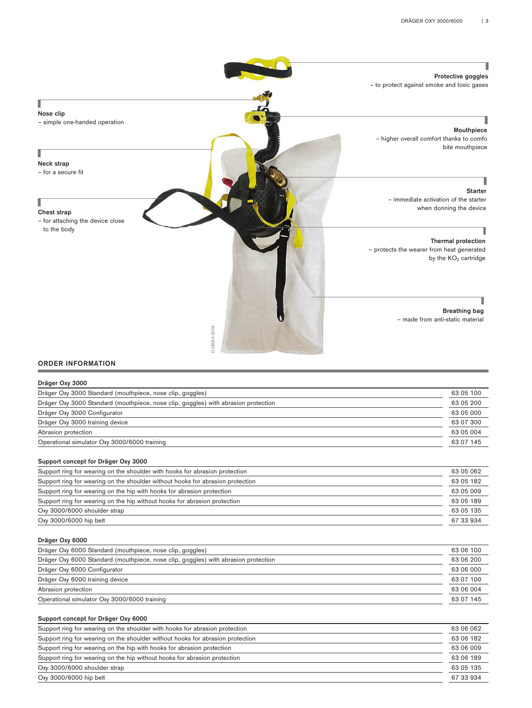

### ORDER INFORMATION

| Dräger Oxy 3000                                                                    |           |
|------------------------------------------------------------------------------------|-----------|
| Dräger Oxy 3000 Standard (mouthpiece, nose clip, goggles)                          | 63 05 100 |
| Dräger Oxy 3000 Standard (mouthpiece, nose clip, goggles) with abrasion protection | 63 05 200 |
| Dräger Oxy 3000 Configurator                                                       | 63 05 000 |
| Dräger Oxy 3000 training device                                                    | 63 07 300 |
| Abrasion protection                                                                | 63 05 004 |
| Operational simulator Oxy 3000/6000 training                                       | 63 07 145 |
|                                                                                    |           |

### Support concept for Dräger Oxy 3000

| Support ring for wearing on the shoulder with hooks for abrasion protection    | 63 05 062 |
|--------------------------------------------------------------------------------|-----------|
| Support ring for wearing on the shoulder without hooks for abrasion protection | 63 05 182 |
| Support ring for wearing on the hip with hooks for abrasion protection         | 63 05 009 |
| Support ring for wearing on the hip without hooks for abrasion protection      | 63 05 189 |
| Oxy 3000/6000 shoulder strap                                                   | 63 05 135 |
| Oxy 3000/6000 hip belt                                                         | 67 33 934 |

### Dräger Oxy 6000

| Dräger Oxy 6000 Standard (mouthpiece, nose clip, goggles)                          |           |
|------------------------------------------------------------------------------------|-----------|
| Dräger Oxy 6000 Standard (mouthpiece, nose clip, goggles) with abrasion protection | 63 06 200 |
| Dräger Oxy 6000 Configurator                                                       | 63 06 000 |
| Dräger Oxy 6000 training device                                                    | 63 07 100 |
| Abrasion protection                                                                | 63 06 004 |
| Operational simulator Oxy 3000/6000 training                                       | 63 07 145 |

### Support concept for Dräger Oxy 6000

| Support ring for wearing on the shoulder with hooks for abrasion protection    |           |
|--------------------------------------------------------------------------------|-----------|
| Support ring for wearing on the shoulder without hooks for abrasion protection |           |
| Support ring for wearing on the hip with hooks for abrasion protection         | 63 06 009 |
| Support ring for wearing on the hip without hooks for abrasion protection      |           |
| Oxy 3000/6000 shoulder strap                                                   | 63 05 135 |
| Oxy 3000/6000 hip belt                                                         |           |